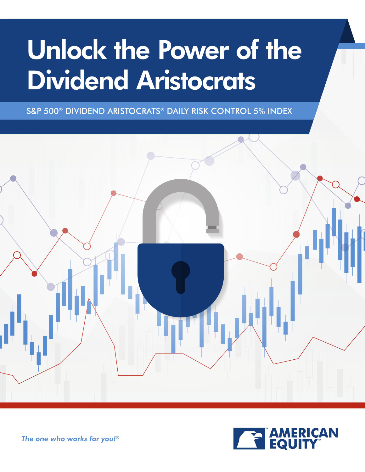## Unlock the Power of the Dividend Aristocrats

S&P 500® DIVIDEND ARISTOCRATS® DAILY RISK CONTROL 5% INDEX





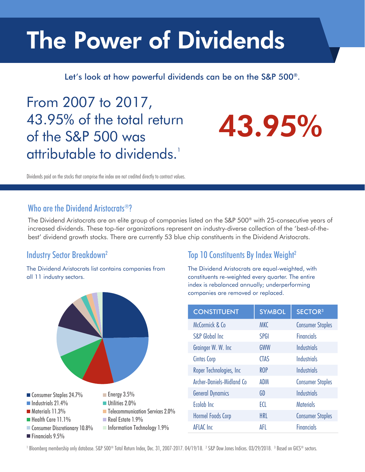## The Power of Dividends

Let's look at how powerful dividends can be on the S&P 500®.

From 2007 to 2017, 43.95% of the total return of the S&P 500 was attributable to dividends.<sup>1</sup>

# 43.95%

Dividends paid on the stocks that comprise the index are not credited directly to contract values.

### Who are the Dividend Aristocrats<sup>®?</sup>

The Dividend Aristocrats are an elite group of companies listed on the S&P 500® with 25-consecutive years of increased dividends. These top-tier organizations represent an industry-diverse collection of the 'best-of-thebest' dividend growth stocks. There are currently 53 blue chip constituents in the Dividend Aristocrats.

### Industry Sector Breakdown<sup>2</sup>

The Dividend Aristocrats list contains companies from all 11 industry sectors.



### Top 10 Constituents By Index Weight<sup>2</sup>

The Dividend Aristocrats are equal-weighted, with constituents re-weighted every quarter. The entire index is rebalanced annually; underperforming companies are removed or replaced.

| <b>CONSTITUENT</b>         | <b>SYMBOL</b> | <b>SECTOR3</b>          |
|----------------------------|---------------|-------------------------|
| McCormick & Co.            | <b>MKC</b>    | <b>Consumer Staples</b> |
| <b>S&amp;P Global Inc</b>  | <b>SPGI</b>   | <b>Financials</b>       |
| Grainger W. W. Inc.        | GWW           | <b>Industrials</b>      |
| Cintas Corp                | <b>CTAS</b>   | <b>Industrials</b>      |
| Roper Technologies, Inc.   | <b>ROP</b>    | Industrials             |
| Archer-Daniels-Midland Co. | ADM           | <b>Consumer Staples</b> |
| <b>General Dynamics</b>    | GD            | <b>Industrials</b>      |
| Ecolab Inc                 | ECL           | <b>Materials</b>        |
| Hormel Foods Corp          | <b>HRL</b>    | <b>Consumer Staples</b> |
| <b>AFLAC</b> Inc           | AFL           | <b>Financials</b>       |

 $^{\rm l}$  Bloomberg membership only database. S&P 500® Total Return Index, Dec. 31, 2007-2017. 04/19/18.  $^{\rm 2}$  S&P Dow Jones Indices. 03/29/2018.  $^{\rm 3}$  Based on GICS® sectors.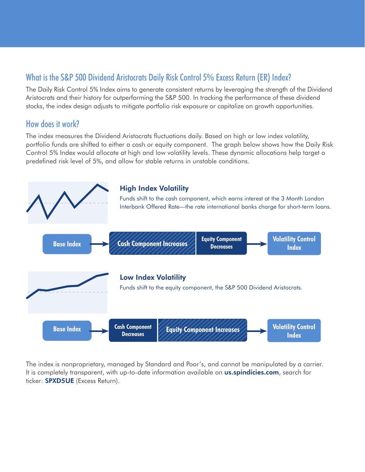### What is the S&P 500 Dividend Aristocrats Daily Risk Control 5% Excess Return (ER) Index?

The Daily Risk Control 5% Index aims to generate consistent returns by leveraging the strength of the Dividend Aristocrats and their history for outperforming the S&P 500. In tracking the performance of these dividend stocks, the index design adjusts to mitigate portfolio risk exposure or capitalize on growth opportunities.

### How does it work?

The index measures the Dividend Aristocrats fluctuations daily. Based on high or low index volatility, portfolio funds are shifted to either a cash or equity component. The graph below shows how the Daily Risk Control 5% Index would allocate at high and low volatility levels. These dynamic allocations help target a predefined risk level of 5%, and allow for stable returns in unstable conditions.



The index is nonproprietary, managed by Standard and Poor's, and cannot be manipulated by a carrier. It is completely transparent, with up-to-date information available on **us.spindicies.com**, search for ticker: **SPXD5UE** (Excess Return).